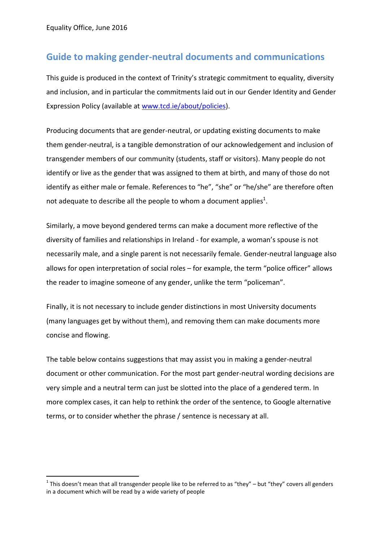-

## **Guide to making gender-neutral documents and communications**

This guide is produced in the context of Trinity's strategic commitment to equality, diversity and inclusion, and in particular the commitments laid out in our Gender Identity and Gender Expression Policy (available at [www.tcd.ie/about/policies\)](http://www.tcd.ie/about/policies).

Producing documents that are gender-neutral, or updating existing documents to make them gender-neutral, is a tangible demonstration of our acknowledgement and inclusion of transgender members of our community (students, staff or visitors). Many people do not identify or live as the gender that was assigned to them at birth, and many of those do not identify as either male or female. References to "he", "she" or "he/she" are therefore often not adequate to describe all the people to whom a document applies<sup>1</sup>.

Similarly, a move beyond gendered terms can make a document more reflective of the diversity of families and relationships in Ireland - for example, a woman's spouse is not necessarily male, and a single parent is not necessarily female. Gender-neutral language also allows for open interpretation of social roles – for example, the term "police officer" allows the reader to imagine someone of any gender, unlike the term "policeman".

Finally, it is not necessary to include gender distinctions in most University documents (many languages get by without them), and removing them can make documents more concise and flowing.

The table below contains suggestions that may assist you in making a gender-neutral document or other communication. For the most part gender-neutral wording decisions are very simple and a neutral term can just be slotted into the place of a gendered term. In more complex cases, it can help to rethink the order of the sentence, to Google alternative terms, or to consider whether the phrase / sentence is necessary at all.

<sup>&</sup>lt;sup>1</sup> This doesn't mean that all transgender people like to be referred to as "they" – but "they" covers all genders in a document which will be read by a wide variety of people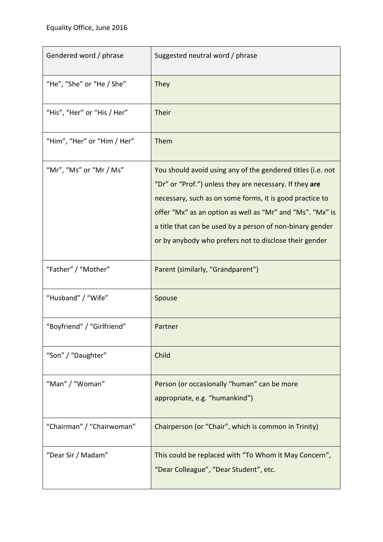| Gendered word / phrase      | Suggested neutral word / phrase                                                                                                                                                                                                                                                                                                                                        |
|-----------------------------|------------------------------------------------------------------------------------------------------------------------------------------------------------------------------------------------------------------------------------------------------------------------------------------------------------------------------------------------------------------------|
| "He", "She" or "He / She"   | They                                                                                                                                                                                                                                                                                                                                                                   |
| "His", "Her" or "His / Her" | Their                                                                                                                                                                                                                                                                                                                                                                  |
| "Him", "Her" or "Him / Her" | Them                                                                                                                                                                                                                                                                                                                                                                   |
| "Mr", "Ms" or "Mr / Ms"     | You should avoid using any of the gendered titles (i.e. not<br>"Dr" or "Prof.") unless they are necessary. If they are<br>necessary, such as on some forms, it is good practice to<br>offer "Mx" as an option as well as "Mr" and "Ms". "Mx" is<br>a title that can be used by a person of non-binary gender<br>or by anybody who prefers not to disclose their gender |
| "Father" / "Mother"         | Parent (similarly, "Grandparent")                                                                                                                                                                                                                                                                                                                                      |
| "Husband" / "Wife"          | Spouse                                                                                                                                                                                                                                                                                                                                                                 |
| "Boyfriend" / "Girlfriend"  | Partner                                                                                                                                                                                                                                                                                                                                                                |
| "Son" / "Daughter"          | Child                                                                                                                                                                                                                                                                                                                                                                  |
| "Man" / "Woman"             | Person (or occasionally "human" can be more<br>appropriate, e.g. "humankind")                                                                                                                                                                                                                                                                                          |
| "Chairman" / "Chairwoman"   | Chairperson (or "Chair", which is common in Trinity)                                                                                                                                                                                                                                                                                                                   |
| "Dear Sir / Madam"          | This could be replaced with "To Whom it May Concern",<br>"Dear Colleague", "Dear Student", etc.                                                                                                                                                                                                                                                                        |